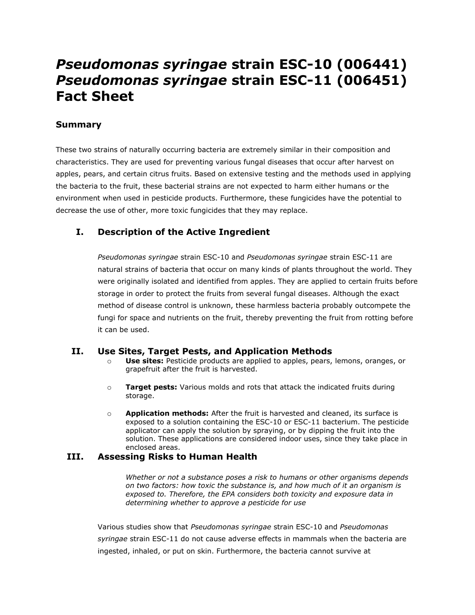# *Pseudomonas syringae* **strain ESC-10 (006441)** *Pseudomonas syringae* **strain ESC-11 (006451) Fact Sheet**

## **Summary**

These two strains of naturally occurring bacteria are extremely similar in their composition and characteristics. They are used for preventing various fungal diseases that occur after harvest on apples, pears, and certain citrus fruits. Based on extensive testing and the methods used in applying the bacteria to the fruit, these bacterial strains are not expected to harm either humans or the environment when used in pesticide products. Furthermore, these fungicides have the potential to decrease the use of other, more toxic fungicides that they may replace.

## **I. Description of the Active Ingredient**

*Pseudomonas syringae* strain ESC-10 and *Pseudomonas syringae* strain ESC-11 are natural strains of bacteria that occur on many kinds of plants throughout the world. They were originally isolated and identified from apples. They are applied to certain fruits before storage in order to protect the fruits from several fungal diseases. Although the exact method of disease control is unknown, these harmless bacteria probably outcompete the fungi for space and nutrients on the fruit, thereby preventing the fruit from rotting before it can be used.

#### **II. Use Sites, Target Pests, and Application Methods**

- o **Use sites:** Pesticide products are applied to apples, pears, lemons, oranges, or grapefruit after the fruit is harvested.
- o **Target pests:** Various molds and rots that attack the indicated fruits during storage.
- o **Application methods:** After the fruit is harvested and cleaned, its surface is exposed to a solution containing the ESC-10 or ESC-11 bacterium. The pesticide applicator can apply the solution by spraying, or by dipping the fruit into the solution. These applications are considered indoor uses, since they take place in enclosed areas.

#### **III. Assessing Risks to Human Health**

*Whether or not a substance poses a risk to humans or other organisms depends on two factors: how toxic the substance is, and how much of it an organism is exposed to. Therefore, the EPA considers both toxicity and exposure data in determining whether to approve a pesticide for use*

Various studies show that *Pseudomonas syringae* strain ESC-10 and *Pseudomonas syringae* strain ESC-11 do not cause adverse effects in mammals when the bacteria are ingested, inhaled, or put on skin. Furthermore, the bacteria cannot survive at